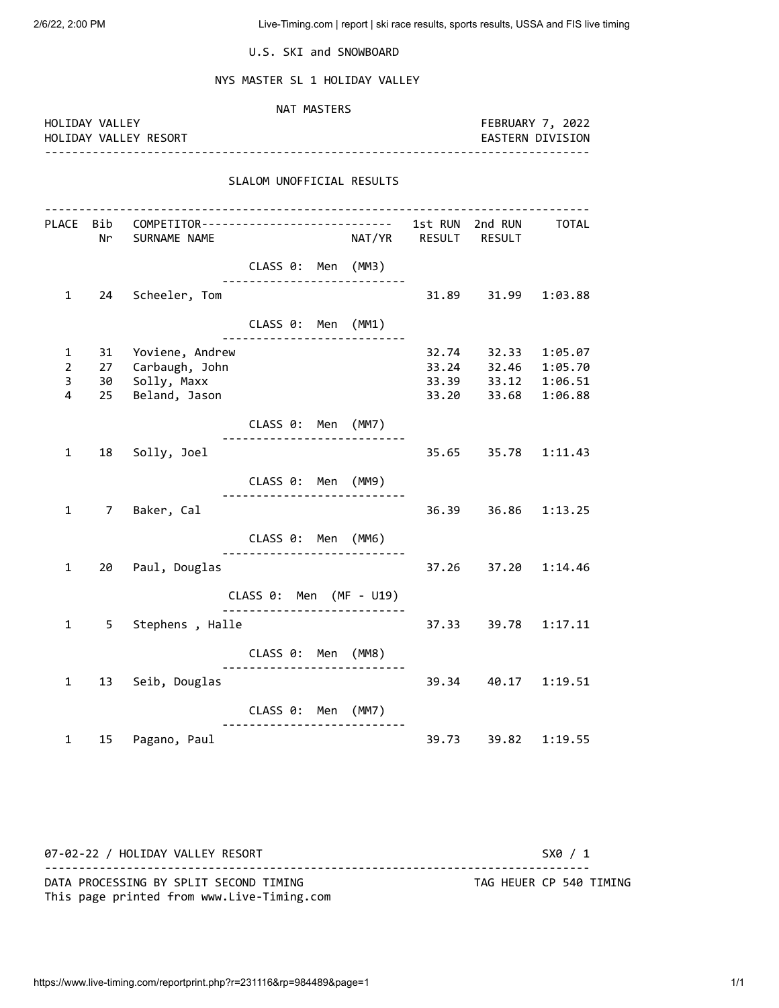2/6/22, 2:00 PM Live-Timing.com | report | ski race results, sports results, USSA and FIS live timing

U.S. SKI and SNOWBOARD

NYS MASTER SL 1 HOLIDAY VALLEY

| HOLIDAY VALLEY                 |          |                                                                                          |                                                     | NAT MASTERS |                      |                     | FEBRUARY 7, 2022        |
|--------------------------------|----------|------------------------------------------------------------------------------------------|-----------------------------------------------------|-------------|----------------------|---------------------|-------------------------|
|                                |          | HOLIDAY VALLEY RESORT                                                                    |                                                     |             |                      |                     | <b>EASTERN DIVISION</b> |
|                                |          |                                                                                          | SLALOM UNOFFICIAL RESULTS                           |             |                      |                     |                         |
|                                |          | PLACE Bib COMPETITOR--------------------------- 1st RUN 2nd RUN TOTAL<br>Nr SURNAME NAME |                                                     |             | NAT/YR RESULT RESULT |                     |                         |
|                                |          |                                                                                          | CLASS 0: Men (MM3)                                  |             |                      |                     |                         |
| $\mathbf{1}$                   | 24       | Scheeler, Tom                                                                            | ----------------------------                        |             | 31.89                | 31.99               | 1:03.88                 |
|                                |          |                                                                                          | CLASS 0: Men (MM1)                                  |             |                      |                     |                         |
| $\mathbf{1}$<br>$\overline{2}$ | 31<br>27 | Yoviene, Andrew<br>Carbaugh, John                                                        |                                                     |             | 32.74<br>33.24       | 32.33<br>32.46      | 1:05.07<br>1:05.70      |
| $\overline{3}$                 | 30       | Solly, Maxx                                                                              |                                                     |             | 33.39                | 33.12               | 1:06.51                 |
| 4                              | 25       | Beland, Jason                                                                            |                                                     |             | 33.20                | 33.68               | 1:06.88                 |
|                                |          |                                                                                          | CLASS 0: Men (MM7)                                  |             |                      |                     |                         |
| 1                              |          | 18 Solly, Joel                                                                           |                                                     |             |                      | 35.65 35.78 1:11.43 |                         |
|                                |          |                                                                                          | CLASS 0: Men (MM9)<br>----------------------------- |             |                      |                     |                         |
| $\mathbf{1}$                   |          | 7 Baker, Cal                                                                             |                                                     |             |                      | 36.39 36.86 1:13.25 |                         |
|                                |          |                                                                                          | CLASS 0: Men (MM6)                                  |             |                      |                     |                         |
| $\mathbf{1}$                   |          | 20 Paul, Douglas                                                                         |                                                     |             | 37.26                |                     | 37.20 1:14.46           |
|                                |          |                                                                                          | CLASS 0: Men (MF - U19)                             |             |                      |                     |                         |
| 1                              |          | 5 Stephens, Halle                                                                        |                                                     |             |                      | 37.33 39.78         | 1:17.11                 |
|                                |          |                                                                                          | CLASS 0: Men (MM8)                                  |             |                      |                     |                         |
| $\mathbf{1}$                   |          | 13 Seib, Douglas                                                                         |                                                     |             |                      | 39.34 40.17 1:19.51 |                         |
|                                |          |                                                                                          | CLASS 0: Men (MM7)<br>----------------------------  |             |                      |                     |                         |
| 1                              | 15       | Pagano, Paul                                                                             |                                                     |             | 39.73                | 39.82               | 1:19.55                 |

07-02-22 / HOLIDAY VALLEY RESORT SX0 / 1 -------------------------------------------------------------------------------- DATA PROCESSING BY SPLIT SECOND TIMING TAG HEUER CP 540 TIMING This page printed from www.Live-Timing.com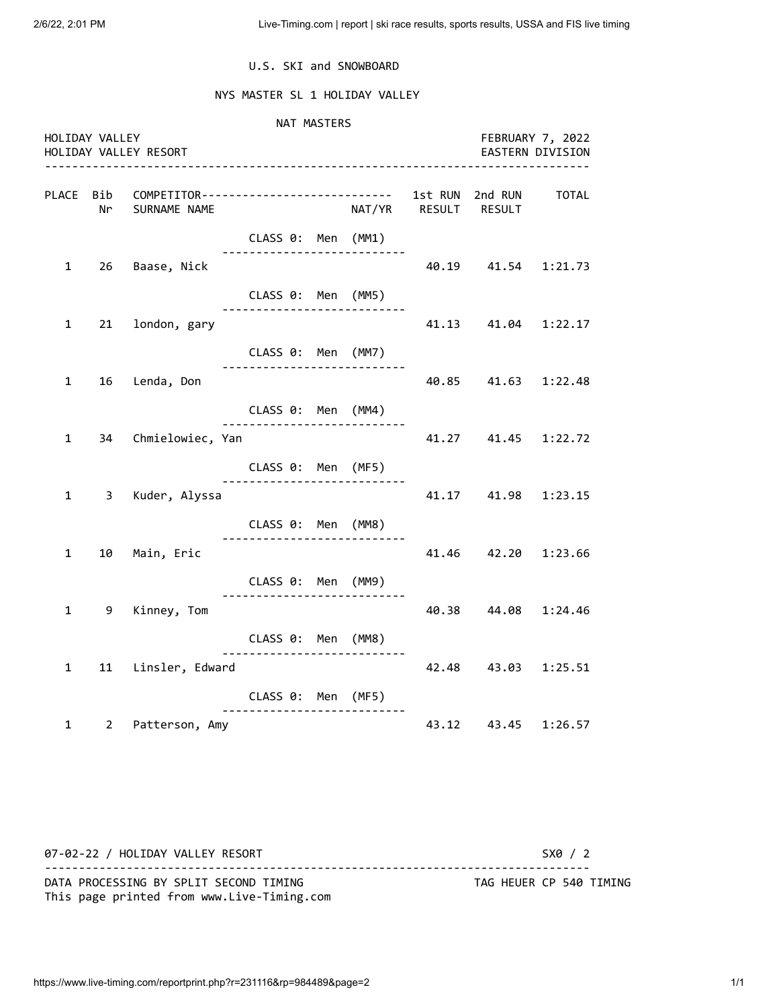### U.S. SKI and SNOWBOARD

### NYS MASTER SL 1 HOLIDAY VALLEY

 NAT MASTERS HOLIDAY VALLEY FEBRUARY 7, 2022 HOLIDAY VALLEY RESORT EASTERN DIVISION -------------------------------------------------------------------------------- PLACE Bib COMPETITOR---------------------------- 1st RUN 2nd RUN TOTAL Nr SURNAME NAME NAT/YR RESULT RESULT CLASS 0: Men (MM1) --------------------------- 1 26 Baase, Nick 40.19 41.54 1:21.73 CLASS 0: Men (MM5) --------------------------- 1 21 london, gary 41.13 41.04 1:22.17 CLASS 0: Men (MM7) --------------------------- 1 16 Lenda, Don 40.85 41.63 1:22.48 CLASS 0: Men (MM4) --------------------------- 1 34 Chmielowiec, Yan 41.27 41.45 1:22.72 CLASS 0: Men (MF5) --------------------------- 1 3 Kuder, Alyssa 41.17 41.98 1:23.15 CLASS 0: Men (MM8) --------------------------- 1 10 Main, Eric 41.46 42.20 1:23.66 CLASS 0: Men (MM9) --------------------------- 1 9 Kinney, Tom 40.38 44.08 1:24.46 CLASS 0: Men (MM8) --------------------------- 1 11 Linsler, Edward 42.48 43.03 1:25.51 CLASS 0: Men (MF5) --------------------------- 1 2 Patterson, Amy 43.12 43.45 1:26.57

07-02-22 / HOLIDAY VALLEY RESORT SX0 / 2 -------------------------------------------------------------------------------- DATA PROCESSING BY SPLIT SECOND TIMING TAG HEUER CP 540 TIMING This page printed from www.Live-Timing.com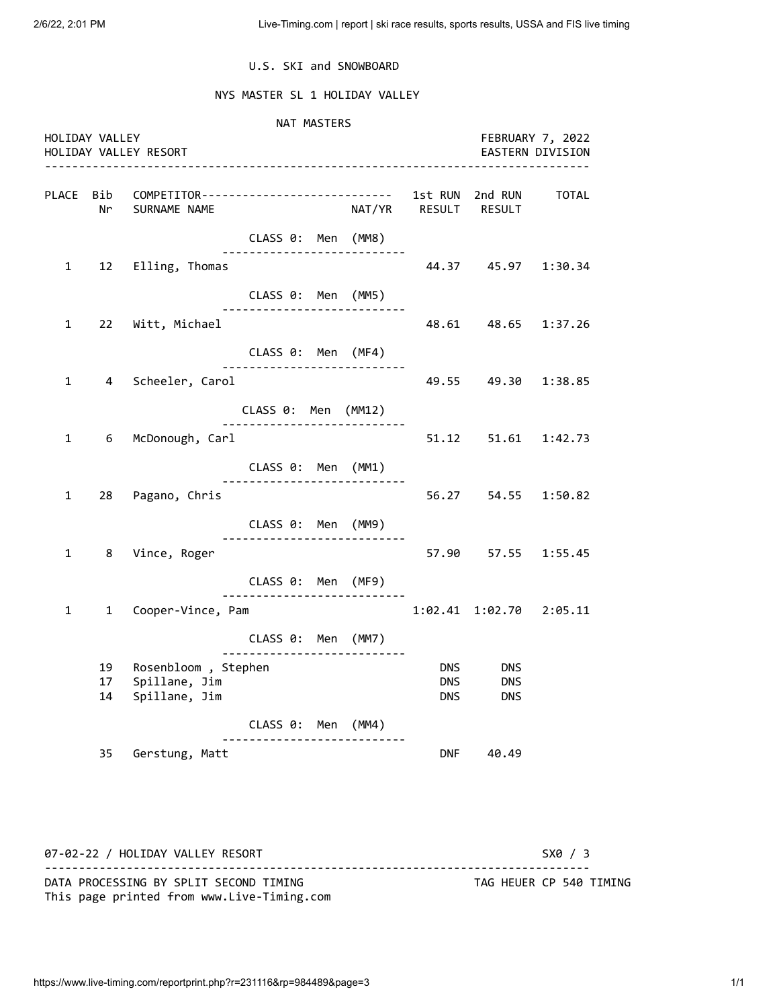### U.S. SKI and SNOWBOARD

### NYS MASTER SL 1 HOLIDAY VALLEY

 NAT MASTERS HOLIDAY VALLEY FEBRUARY 7, 2022 HOLIDAY VALLEY RESORT EASTERN DIVISION -------------------------------------------------------------------------------- PLACE Bib COMPETITOR---------------------------- 1st RUN 2nd RUN TOTAL Nr SURNAME NAME NAT/YR RESULT RESULT CLASS 0: Men (MM8) --------------------------- 1 12 Elling, Thomas 44.37 45.97 1:30.34 CLASS 0: Men (MM5) --------------------------- 1 22 Witt, Michael 48.61 48.65 1:37.26 CLASS 0: Men (MF4) --------------------------- 1 4 Scheeler, Carol 49.55 49.30 1:38.85 CLASS 0: Men (MM12) --------------------------- 1 6 McDonough, Carl 51.12 51.61 1:42.73 CLASS 0: Men (MM1) --------------------------- 1 28 Pagano, Chris 56.27 54.55 1:50.82 CLASS 0: Men (MM9) --------------------------- 1 8 Vince, Roger 6 1 20 37.90 57.55 1:55.45 CLASS 0: Men (MF9) --------------------------- 1 1 Cooper-Vince, Pam 1:02.41 1:02.70 2:05.11 CLASS 0: Men (MM7) --------------------------- 19 Rosenbloom, Stephen DNS DNS DNS 17 Spillane, Jim DNS DNS DNS 14 Spillane, Jim **DNS** DNS DNS CLASS 0: Men (MM4) --------------------------- 35 Gerstung, Matt **DNF** 40.49

07-02-22 / HOLIDAY VALLEY RESORT SX0 / 3 -------------------------------------------------------------------------------- DATA PROCESSING BY SPLIT SECOND TIMING TAG HEUER CP 540 TIMING This page printed from www.Live-Timing.com